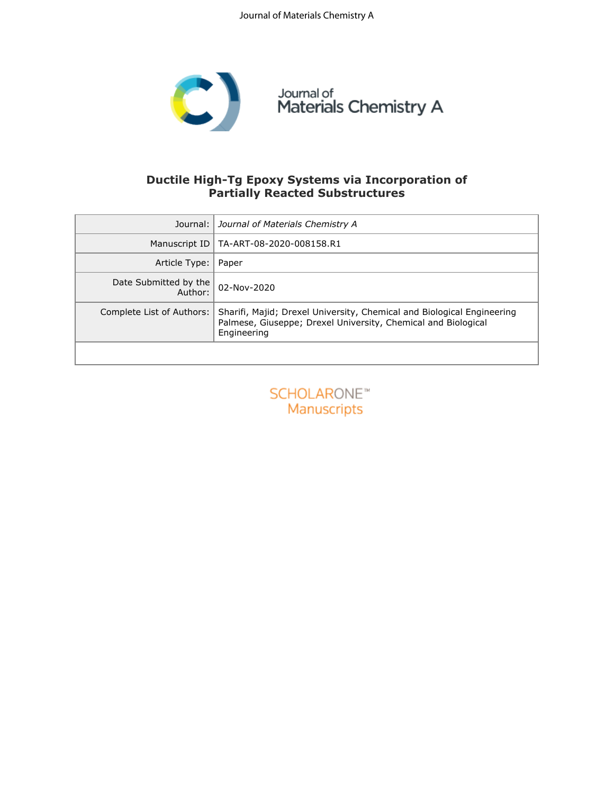

## **Ductile High-Tg Epoxy Systems via Incorporation of Partially Reacted Substructures**

|                                  | Journal:   Journal of Materials Chemistry A                                                                                                            |
|----------------------------------|--------------------------------------------------------------------------------------------------------------------------------------------------------|
|                                  | Manuscript ID   TA-ART-08-2020-008158.R1                                                                                                               |
| Article Type:                    | Paper                                                                                                                                                  |
| Date Submitted by the<br>Author: | 02-Nov-2020                                                                                                                                            |
| Complete List of Authors:        | Sharifi, Majid; Drexel University, Chemical and Biological Engineering<br>Palmese, Giuseppe; Drexel University, Chemical and Biological<br>Engineering |
|                                  |                                                                                                                                                        |

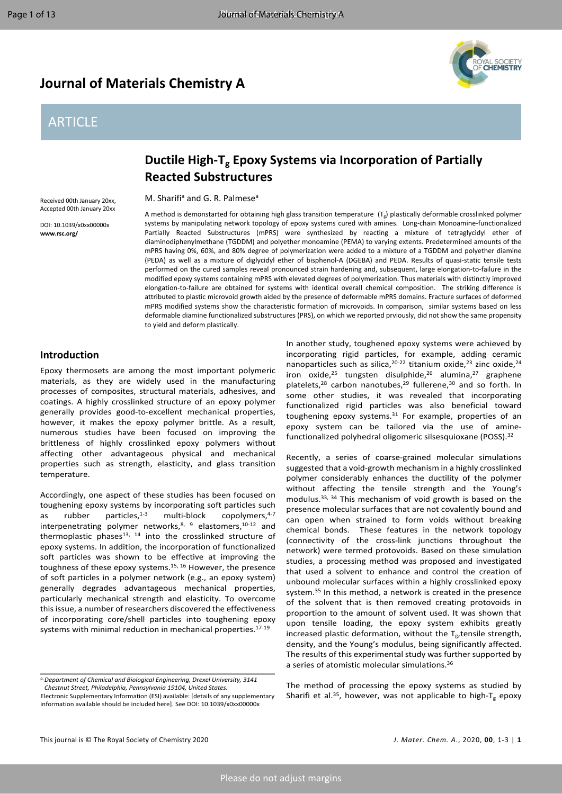## **Journal of Materials Chemistry A**

# **ARTICLE**



## **Ductile High-Tg Epoxy Systems via Incorporation of Partially Reacted Substructures**

M. Sharifi<sup>a</sup> and G. R. Palmese<sup>a</sup>

Received 00th January 20xx, Accepted 00th January 20xx

DOI: 10.1039/x0xx00000x **www.rsc.org/**

A method is demonstarted for obtaining high glass transition temperature (Tg) plastically deformable crosslinked polymer systems by manipulating network topology of epoxy systems cured with amines. Long-chain Monoamine-functionalized Partially Reacted Substructures (mPRS) were synthesized by reacting a mixture of tetraglycidyl ether of diaminodiphenylmethane (TGDDM) and polyether monoamine (PEMA) to varying extents. Predetermined amounts of the mPRS having 0%, 60%, and 80% degree of polymerization were added to a mixture of a TGDDM and polyether diamine (PEDA) as well as a mixture of diglycidyl ether of bisphenol-A (DGEBA) and PEDA. Results of quasi-static tensile tests performed on the cured samples reveal pronounced strain hardening and, subsequent, large elongation-to-failure in the modified epoxy systems containing mPRS with elevated degrees of polymerization. Thus materials with distinctly improved elongation-to-failure are obtained for systems with identical overall chemical composition. The striking difference is attributed to plastic microvoid growth aided by the presence of deformable mPRS domains. Fracture surfaces of deformed mPRS modified systems show the characteristic formation of microvoids. In comparison, similar systems based on less deformable diamine functionalized substructures (PRS), on which we reported prviously, did not show the same propensity to yield and deform plastically.

### **Introduction**

Epoxy thermosets are among the most important polymeric materials, as they are widely used in the manufacturing processes of composites, structural materials, adhesives, and coatings. A highly crosslinked structure of an epoxy polymer generally provides good-to-excellent mechanical properties, however, it makes the epoxy polymer brittle. As a result, numerous studies have been focused on improving the brittleness of highly crosslinked epoxy polymers without affecting other advantageous physical and mechanical properties such as strength, elasticity, and glass transition temperature.

Accordingly, one aspect of these studies has been focused on toughening epoxy systems by incorporating soft particles such as rubber particles, $1-3$  multi-block copolymers, $4-7$ interpenetrating polymer networks,<sup>[8,](#page-11-2) [9](#page-11-3)</sup> elastomers,<sup>[10-12](#page-11-4)</sup> and thermoplastic phases<sup>[13](#page-11-5), [14](#page-11-6)</sup> into the crosslinked structure of epoxy systems. In addition, the incorporation of functionalized soft particles was shown to be effective at improving the toughness of these epoxy systems.[15](#page-11-7), [16](#page-11-8) However, the presence of soft particles in a polymer network (e.g., an epoxy system) generally degrades advantageous mechanical properties, particularly mechanical strength and elasticity. To overcome thisissue, a number of researchers discovered the effectiveness of incorporating core/shell particles into toughening epoxy systems with minimal reduction in mechanical properties.[17-19](#page-11-9)

In another study, toughened epoxy systems were achieved by incorporating rigid particles, for example, adding ceramic nanoparticles such as silica,  $20-22$  titanium oxide,  $23$  zinc oxide,  $24$ iron oxide,<sup>[25](#page-11-13)</sup> tungsten disulphide,<sup>[26](#page-11-14)</sup> alumina,<sup>[27](#page-11-15)</sup> graphene platelets,<sup>[28](#page-11-16)</sup> carbon nanotubes,<sup>[29](#page-11-17)</sup> fullerene,<sup>[30](#page-11-18)</sup> and so forth. In some other studies, it was revealed that incorporating functionalized rigid particles was also beneficial toward toughening epoxy systems.[31](#page-11-19) For example, properties of an epoxy system can be tailored via the use of amine-functionalized polyhedral oligomeric silsesquioxane (POSS).<sup>[32](#page-11-20)</sup>

Recently, a series of coarse-grained molecular simulations suggested that a void-growth mechanism in a highly crosslinked polymer considerably enhances the ductility of the polymer without affecting the tensile strength and the Young's modulus.[33,](#page-11-21) [34](#page-11-22) This mechanism of void growth is based on the presence molecular surfaces that are not covalently bound and can open when strained to form voids without breaking chemical bonds. These features in the network topology (connectivity of the cross-link junctions throughout the network) were termed protovoids. Based on these simulation studies, a processing method was proposed and investigated that used a solvent to enhance and control the creation of unbound molecular surfaces within a highly crosslinked epoxy system.<sup>[35](#page-11-23)</sup> In this method, a network is created in the presence of the solvent that is then removed creating protovoids in proportion to the amount of solvent used. It was shown that upon tensile loading, the epoxy system exhibits greatly increased plastic deformation, without the  $T_g$ , tensile strength, density, and the Young's modulus, being significantly affected. The results of this experimental study was further supported by a series of atomistic molecular simulations.[36](#page-12-0)

The method of processing the epoxy systems as studied by Sharifi et al.<sup>[35](#page-11-23)</sup>, however, was not applicable to high-T<sub>g</sub> epoxy

*a.Department of Chemical and Biological Engineering, Drexel University, 3141 Chestnut Street, Philadelphia, Pennsylvania 19104, United States.*

Electronic Supplementary Information (ESI) available: [details of any supplementary information available should be included here]. See DOI: 10.1039/x0xx00000x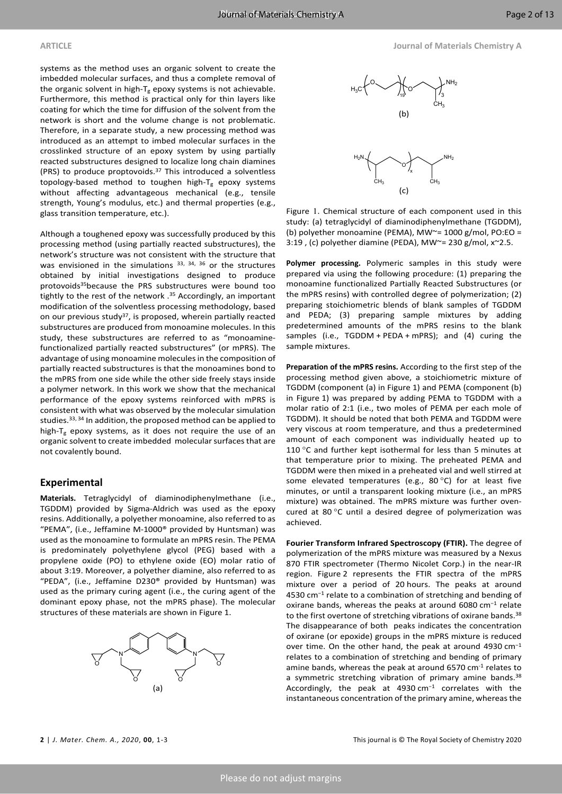systems as the method uses an organic solvent to create the imbedded molecular surfaces, and thus a complete removal of the organic solvent in high- $T_g$  epoxy systems is not achievable. Furthermore, this method is practical only for thin layers like coating for which the time for diffusion of the solvent from the network is short and the volume change is not problematic. Therefore, in a separate study, a new processing method was introduced as an attempt to imbed molecular surfaces in the crosslinked structure of an epoxy system by using partially reacted substructures designed to localize long chain diamines (PRS) to produce proptovoids. $37$  This introduced a solventless topology-based method to toughen high- $T_g$  epoxy systems without affecting advantageous mechanical (e.g., tensile strength, Young's modulus, etc.) and thermal properties (e.g., glass transition temperature, etc.).

Although a toughened epoxy was successfully produced by this processing method (using partially reacted substructures), the network's structure was not consistent with the structure that was envisioned in the simulations  $33, 34, 36$  $33, 34, 36$  $33, 34, 36$  $33, 34, 36$  $33, 34, 36$  or the structures obtained by initial investigations designed to produce protovoids[35](#page-11-23)because the PRS substructures were bound too tightly to the rest of the network .<sup>[35](#page-11-23)</sup> Accordingly, an important modification of the solventless processing methodology, based on our previous study<sup>[37](#page-12-1)</sup>, is proposed, wherein partially reacted substructures are produced from monoamine molecules. In this study, these substructures are referred to as "monoaminefunctionalized partially reacted substructures" (or mPRS). The advantage of using monoamine molecules in the composition of partially reacted substructures is that the monoamines bond to the mPRS from one side while the other side freely stays inside a polymer network. In this work we show that the mechanical performance of the epoxy systems reinforced with mPRS is consistent with what was observed by the molecular simulation studies.<sup>[33,](#page-11-21) [34](#page-11-22)</sup> In addition, the proposed method can be applied to high- $T_g$  epoxy systems, as it does not require the use of an organic solvent to create imbedded molecular surfaces that are not covalently bound.

### **Experimental**

**Materials.** Tetraglycidyl of diaminodiphenylmethane (i.e., TGDDM) provided by Sigma-Aldrich was used as the epoxy resins. Additionally, a polyether monoamine, also referred to as "PEMA", (i.e., Jeffamine M-1000® provided by Huntsman) was used as the monoamine to formulate an mPRS resin. The PEMA is predominately polyethylene glycol (PEG) based with a propylene oxide (PO) to ethylene oxide (EO) molar ratio of about 3:19. Moreover, a polyether diamine, also referred to as "PEDA", (i.e., Jeffamine D230® provided by Huntsman) was used as the primary curing agent (i.e., the curing agent of the dominant epoxy phase, not the mPRS phase). The molecular structures of these materials are shown in Figure 1.







Figure 1. Chemical structure of each component used in this study: (a) tetraglycidyl of diaminodiphenylmethane (TGDDM), (b) polyether monoamine (PEMA), MW~= 1000 g/mol, PO:EO = 3:19, (c) polyether diamine (PEDA), MW $\simeq$  230 g/mol, x $\simeq$ 2.5.

**Polymer processing.** Polymeric samples in this study were prepared via using the following procedure: (1) preparing the monoamine functionalized Partially Reacted Substructures (or the mPRS resins) with controlled degree of polymerization; (2) preparing stoichiometric blends of blank samples of TGDDM and PEDA; (3) preparing sample mixtures by adding predetermined amounts of the mPRS resins to the blank samples (i.e.,  $TGDDM + PEDA + mPRS$ ); and (4) curing the sample mixtures.

**Preparation of the mPRS resins.** According to the first step of the processing method given above, a stoichiometric mixture of TGDDM (component (a) in Figure 1) and PEMA (component (b) in Figure 1) was prepared by adding PEMA to TGDDM with a molar ratio of 2:1 (i.e., two moles of PEMA per each mole of TGDDM). It should be noted that both PEMA and TGDDM were very viscous at room temperature, and thus a predetermined amount of each component was individually heated up to 110 $\degree$ C and further kept isothermal for less than 5 minutes at that temperature prior to mixing. The preheated PEMA and TGDDM were then mixed in a preheated vial and well stirred at some elevated temperatures (e.g., 80 $^{\circ}$ C) for at least five minutes, or until a transparent looking mixture (i.e., an mPRS mixture) was obtained. The mPRS mixture was further ovencured at 80 °C until a desired degree of polymerization was achieved.

**Fourier Transform Infrared Spectroscopy (FTIR).** The degree of polymerization of the mPRS mixture was measured by a Nexus 870 FTIR spectrometer (Thermo Nicolet Corp.) in the near-IR region. Figure 2 represents the FTIR spectra of the mPRS mixture over a period of 20 hours. The peaks at around 4530 cm−1 relate to a combination of stretching and bending of oxirane bands, whereas the peaks at around 6080 cm−1 relate to the first overtone of stretching vibrations of oxirane bands.<sup>[38](#page-12-2)</sup> The disappearance of both peaks indicates the concentration of oxirane (or epoxide) groups in the mPRS mixture is reduced over time. On the other hand, the peak at around 4930 cm−1 relates to a combination of stretching and bending of primary amine bands, whereas the peak at around 6570 cm<sup>-1</sup> relates to a symmetric stretching vibration of primary amine bands.<sup>[38](#page-12-2)</sup> Accordingly, the peak at 4930 cm−1 correlates with the instantaneous concentration of the primary amine, whereas the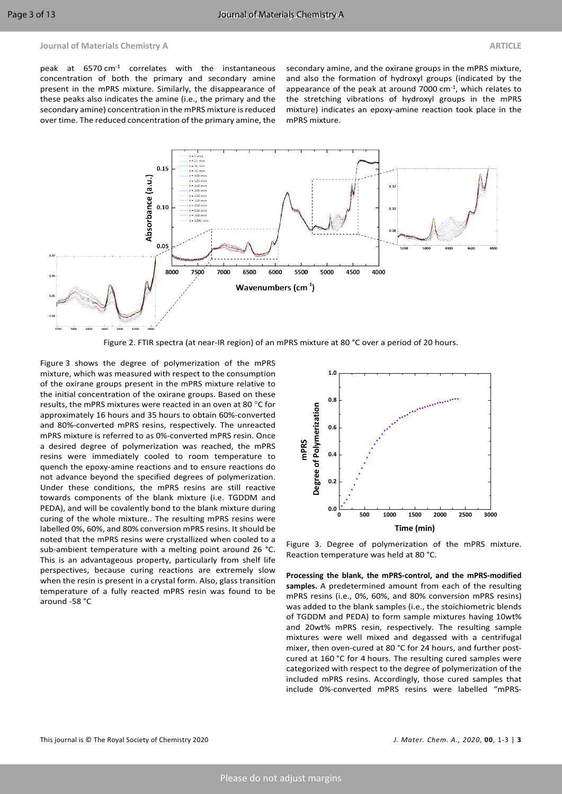peak at  $6570 \text{ cm}^{-1}$  correlates with the instantaneous concentration of both the primary and secondary amine present in the mPRS mixture. Similarly, the disappearance of these peaks also indicates the amine (i.e., the primary and the secondary amine) concentration in the mPRS mixture is reduced over time. The reduced concentration of the primary amine, the

secondary amine, and the oxirane groups in the mPRS mixture, and also the formation of hydroxyl groups (indicated by the appearance of the peak at around  $7000$  cm $^{-1}$ , which relates to the stretching vibrations of hydroxyl groups in the mPRS mixture) indicates an epoxy-amine reaction took place in the mPRS mixture.



Figure 2. FTIR spectra (at near-IR region) of an mPRS mixture at 80 °C over a period of 20 hours.

Figure 3 shows the degree of polymerization of the mPRS mixture, which was measured with respect to the consumption of the oxirane groups present in the mPRS mixture relative to the initial concentration of the oxirane groups. Based on these results, the mPRS mixtures were reacted in an oven at 80 °C for approximately 16 hours and 35 hours to obtain 60%-converted and 80%-converted mPRS resins, respectively. The unreacted mPRS mixture is referred to as 0%-converted mPRS resin. Once a desired degree of polymerization was reached, the mPRS resins were immediately cooled to room temperature to quench the epoxy-amine reactions and to ensure reactions do not advance beyond the specified degrees of polymerization. Under these conditions, the mPRS resins are still reactive towards components of the blank mixture (i.e. TGDDM and PEDA), and will be covalently bond to the blank mixture during curing of the whole mixture.. The resulting mPRS resins were labelled 0%, 60%, and 80% conversion mPRS resins. It should be noted that the mPRS resins were crystallized when cooled to a sub-ambient temperature with a melting point around 26 °C. This is an advantageous property, particularly from shelf life perspectives, because curing reactions are extremely slow when the resin is present in a crystal form. Also, glass transition temperature of a fully reacted mPRS resin was found to be around -58 °C



Figure 3. Degree of polymerization of the mPRS mixture. Reaction temperature was held at 80 °C.

**Processing the blank, the mPRS-control, and the mPRS-modified samples.** A predetermined amount from each of the resulting mPRS resins (i.e., 0%, 60%, and 80% conversion mPRS resins) was added to the blank samples (i.e., the stoichiometric blends of TGDDM and PEDA) to form sample mixtures having 10wt% and 20wt% mPRS resin, respectively. The resulting sample mixtures were well mixed and degassed with a centrifugal mixer, then oven-cured at 80 °C for 24 hours, and further postcured at 160 °C for 4 hours. The resulting cured samples were categorized with respect to the degree of polymerization of the included mPRS resins. Accordingly, those cured samples that include 0%-converted mPRS resins were labelled "mPRS-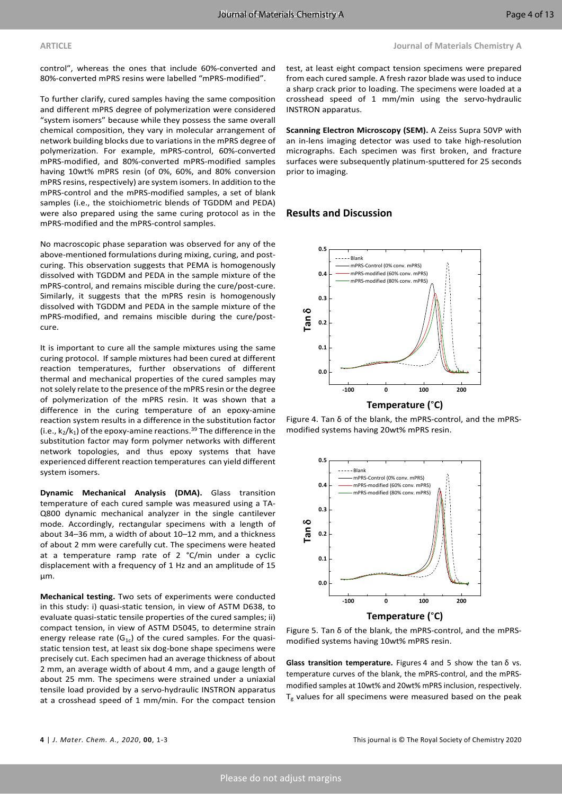control", whereas the ones that include 60%-converted and 80%-converted mPRS resins were labelled "mPRS-modified".

To further clarify, cured samples having the same composition and different mPRS degree of polymerization were considered "system isomers" because while they possess the same overall chemical composition, they vary in molecular arrangement of network building blocks due to variationsin the mPRS degree of polymerization. For example, mPRS-control, 60%-converted mPRS-modified, and 80%-converted mPRS-modified samples having 10wt% mPRS resin (of 0%, 60%, and 80% conversion mPRS resins, respectively) are system isomers. In addition to the mPRS-control and the mPRS-modified samples, a set of blank samples (i.e., the stoichiometric blends of TGDDM and PEDA) were also prepared using the same curing protocol as in the mPRS-modified and the mPRS-control samples.

No macroscopic phase separation was observed for any of the above-mentioned formulations during mixing, curing, and postcuring. This observation suggests that PEMA is homogenously dissolved with TGDDM and PEDA in the sample mixture of the mPRS-control, and remains miscible during the cure/post-cure. Similarly, it suggests that the mPRS resin is homogenously dissolved with TGDDM and PEDA in the sample mixture of the mPRS-modified, and remains miscible during the cure/postcure.

It is important to cure all the sample mixtures using the same curing protocol. If sample mixtures had been cured at different reaction temperatures, further observations of different thermal and mechanical properties of the cured samples may notsolely relate to the presence of the mPRS resin orthe degree of polymerization of the mPRS resin. It was shown that a difference in the curing temperature of an epoxy-amine reaction system results in a difference in the substitution factor (i.e.,  $k_2/k_1$ ) of the epoxy-amine reactions.<sup>[39](#page-12-3)</sup> The difference in the substitution factor may form polymer networks with different network topologies, and thus epoxy systems that have experienced different reaction temperatures can yield different system isomers.

**Dynamic Mechanical Analysis (DMA).** Glass transition temperature of each cured sample was measured using a TA-Q800 dynamic mechanical analyzer in the single cantilever mode. Accordingly, rectangular specimens with a length of about 34–36 mm, a width of about 10–12 mm, and a thickness of about 2 mm were carefully cut. The specimens were heated at a temperature ramp rate of 2 °C/min under a cyclic displacement with a frequency of 1 Hz and an amplitude of 15  $\mathbf{u}$ m.

**Mechanical testing.** Two sets of experiments were conducted in this study: i) quasi-static tension, in view of ASTM D638, to evaluate quasi-static tensile properties of the cured samples; ii) compact tension, in view of ASTM D5045, to determine strain energy release rate  $(G_{1c})$  of the cured samples. For the quasistatic tension test, at least six dog-bone shape specimens were precisely cut. Each specimen had an average thickness of about 2 mm, an average width of about 4 mm, and a gauge length of about 25 mm. The specimens were strained under a uniaxial tensile load provided by a servo-hydraulic INSTRON apparatus at a crosshead speed of 1 mm/min. For the compact tension

test, at least eight compact tension specimens were prepared from each cured sample. A fresh razor blade was used to induce a sharp crack prior to loading. The specimens were loaded at a crosshead speed of 1 mm/min using the servo-hydraulic INSTRON apparatus.

**Scanning Electron Microscopy (SEM).** A Zeiss Supra 50VP with an in-lens imaging detector was used to take high-resolution micrographs. Each specimen was first broken, and fracture surfaces were subsequently platinum-sputtered for 25 seconds prior to imaging.

### **Results and Discussion**



Figure 4. Tan δ of the blank, the mPRS-control, and the mPRSmodified systems having 20wt% mPRS resin.



Figure 5. Tan δ of the blank, the mPRS-control, and the mPRSmodified systems having 10wt% mPRS resin.

**Glass transition temperature.** Figures 4 and 5 show the tan δ vs. temperature curves of the blank, the mPRS-control, and the mPRSmodified samples at 10wt% and 20wt% mPRS inclusion, respectively.  $T_g$  values for all specimens were measured based on the peak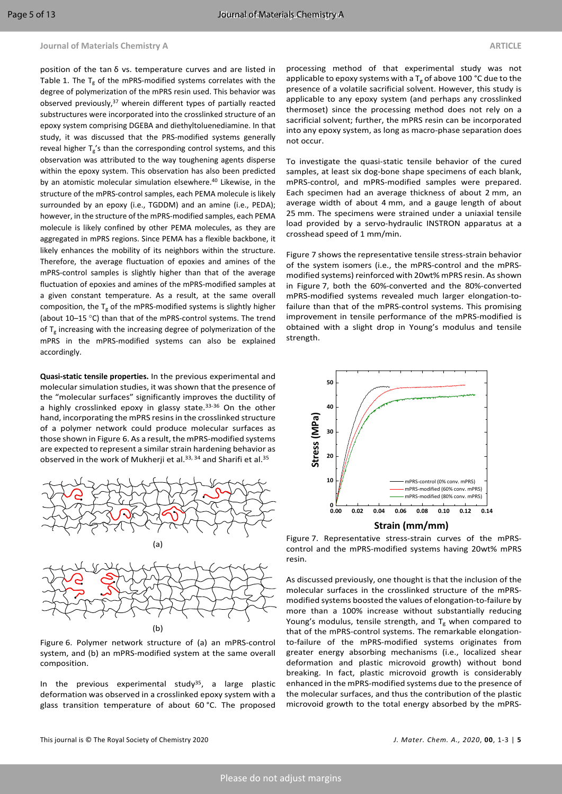position of the tan δ vs. temperature curves and are listed in Table 1. The  $T_g$  of the mPRS-modified systems correlates with the degree of polymerization of the mPRS resin used. This behavior was observed previously,<sup>[37](#page-12-1)</sup> wherein different types of partially reacted substructures were incorporated into the crosslinked structure of an epoxy system comprising DGEBA and diethyltoluenediamine. In that study, it was discussed that the PRS-modified systems generally reveal higher  $T_g$ 's than the corresponding control systems, and this observation was attributed to the way toughening agents disperse within the epoxy system. This observation has also been predicted by an atomistic molecular simulation elsewhere.<sup>[40](#page-12-4)</sup> Likewise, in the structure of the mPRS-control samples, each PEMA molecule is likely surrounded by an epoxy (i.e., TGDDM) and an amine (i.e., PEDA); however, in the structure of the mPRS-modified samples, each PEMA molecule is likely confined by other PEMA molecules, as they are aggregated in mPRS regions. Since PEMA has a flexible backbone, it likely enhances the mobility of its neighbors within the structure. Therefore, the average fluctuation of epoxies and amines of the mPRS-control samples is slightly higher than that of the average fluctuation of epoxies and amines of the mPRS-modified samples at a given constant temperature. As a result, at the same overall composition, the  $T_g$  of the mPRS-modified systems is slightly higher (about 10–15 °C) than that of the mPRS-control systems. The trend of  $T_g$  increasing with the increasing degree of polymerization of the mPRS in the mPRS-modified systems can also be explained accordingly.

**Quasi-static tensile properties.** In the previous experimental and molecular simulation studies, it was shown that the presence of the "molecular surfaces" significantly improves the ductility of a highly crosslinked epoxy in glassy state.<sup>[33-36](#page-11-21)</sup> On the other hand, incorporating the mPRS resins in the crosslinked structure of a polymer network could produce molecular surfaces as those shown in Figure 6. As a result, the mPRS-modified systems are expected to represent a similar strain hardening behavior as observed in the work of Mukherji et al.<sup>[33,](#page-11-21) [34](#page-11-22)</sup> and Sharifi et al.<sup>[35](#page-11-23)</sup>



Figure 6. Polymer network structure of (a) an mPRS-control system, and (b) an mPRS-modified system at the same overall composition.

In the previous experimental study<sup>[35](#page-11-23)</sup>, a large plastic deformation was observed in a crosslinked epoxy system with a glass transition temperature of about 60 °C. The proposed

processing method of that experimental study was not applicable to epoxy systems with a  $T_g$  of above 100 °C due to the presence of a volatile sacrificial solvent. However, this study is applicable to any epoxy system (and perhaps any crosslinked thermoset) since the processing method does not rely on a sacrificial solvent; further, the mPRS resin can be incorporated into any epoxy system, as long as macro-phase separation does not occur.

To investigate the quasi-static tensile behavior of the cured samples, at least six dog-bone shape specimens of each blank, mPRS-control, and mPRS-modified samples were prepared. Each specimen had an average thickness of about 2 mm, an average width of about 4 mm, and a gauge length of about 25 mm. The specimens were strained under a uniaxial tensile load provided by a servo-hydraulic INSTRON apparatus at a crosshead speed of 1 mm/min.

Figure 7 shows the representative tensile stress-strain behavior of the system isomers (i.e., the mPRS-control and the mPRSmodified systems) reinforced with 20wt% mPRS resin. As shown in Figure 7, both the 60%-converted and the 80%-converted mPRS-modified systems revealed much larger elongation-tofailure than that of the mPRS-control systems. This promising improvement in tensile performance of the mPRS-modified is obtained with a slight drop in Young's modulus and tensile strength.



Figure 7. Representative stress-strain curves of the mPRScontrol and the mPRS-modified systems having 20wt% mPRS resin.

As discussed previously, one thought is that the inclusion of the molecular surfaces in the crosslinked structure of the mPRSmodified systems boosted the values of elongation-to-failure by more than a 100% increase without substantially reducing Young's modulus, tensile strength, and  $T_g$  when compared to that of the mPRS-control systems. The remarkable elongationto-failure of the mPRS-modified systems originates from greater energy absorbing mechanisms (i.e., localized shear deformation and plastic microvoid growth) without bond breaking. In fact, plastic microvoid growth is considerably enhanced in the mPRS-modified systems due to the presence of the molecular surfaces, and thus the contribution of the plastic microvoid growth to the total energy absorbed by the mPRS-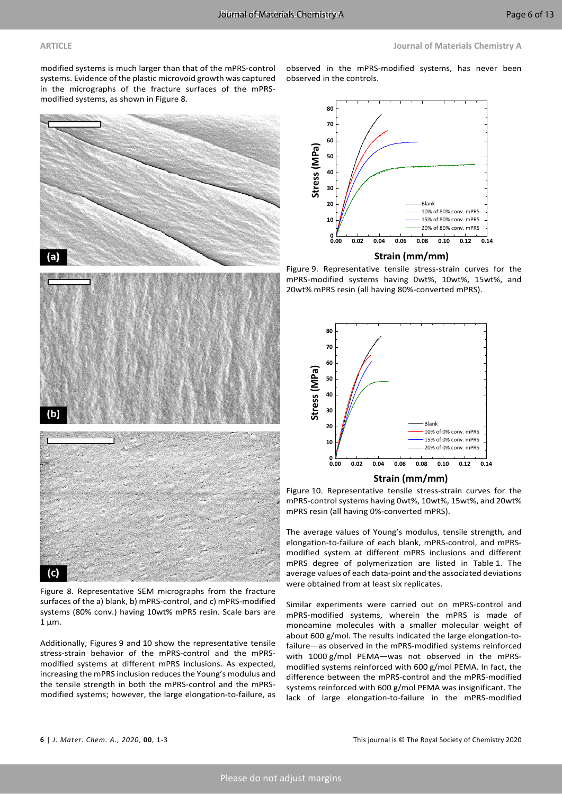modified systems is much larger than that of the mPRS-control systems. Evidence of the plastic microvoid growth was captured in the micrographs of the fracture surfaces of the mPRSmodified systems, as shown in Figure 8.



Figure 8. Representative SEM micrographs from the fracture surfaces of the a) blank, b) mPRS-control, and c) mPRS-modified systems (80% conv.) having 10wt% mPRS resin. Scale bars are  $1 \mu m$ .

Additionally, Figures 9 and 10 show the representative tensile stress-strain behavior of the mPRS-control and the mPRSmodified systems at different mPRS inclusions. As expected, increasing the mPRS inclusion reduces the Young's modulus and the tensile strength in both the mPRS-control and the mPRSmodified systems; however, the large elongation-to-failure, as observed in the mPRS-modified systems, has never been observed in the controls.



Figure 9. Representative tensile stress-strain curves for the mPRS-modified systems having 0wt%, 10wt%, 15wt%, and 20wt% mPRS resin (all having 80%-converted mPRS).



Figure 10. Representative tensile stress-strain curves for the mPRS-control systems having 0wt%, 10wt%, 15wt%, and 20wt% mPRS resin (all having 0%-converted mPRS).

The average values of Young's modulus, tensile strength, and elongation-to-failure of each blank, mPRS-control, and mPRSmodified system at different mPRS inclusions and different mPRS degree of polymerization are listed in Table 1. The average values of each data-point and the associated deviations were obtained from at least six replicates.

Similar experiments were carried out on mPRS-control and mPRS-modified systems, wherein the mPRS is made of monoamine molecules with a smaller molecular weight of about 600 g/mol. The results indicated the large elongation-tofailure—as observed in the mPRS-modified systems reinforced with 1000 g/mol PEMA—was not observed in the mPRSmodified systems reinforced with 600 g/mol PEMA. In fact, the difference between the mPRS-control and the mPRS-modified systems reinforced with 600 g/mol PEMA was insignificant. The lack of large elongation-to-failure in the mPRS-modified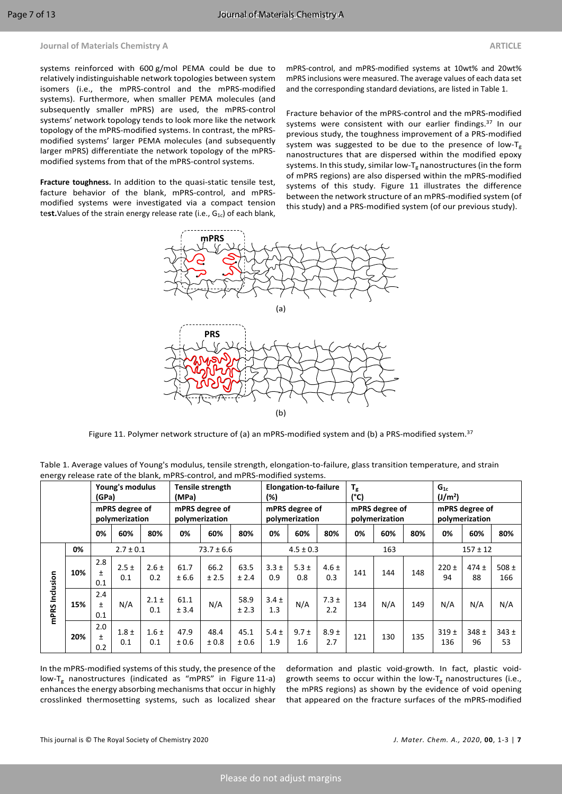systems reinforced with 600 g/mol PEMA could be due to relatively indistinguishable network topologies between system isomers (i.e., the mPRS-control and the mPRS-modified systems). Furthermore, when smaller PEMA molecules (and subsequently smaller mPRS) are used, the mPRS-control systems' network topology tends to look more like the network topology of the mPRS-modified systems. In contrast, the mPRSmodified systems' larger PEMA molecules (and subsequently larger mPRS) differentiate the network topology of the mPRSmodified systems from that of the mPRS-control systems.

**Fracture toughness.** In addition to the quasi-static tensile test, facture behavior of the blank, mPRS-control, and mPRSmodified systems were investigated via a compact tension test. Values of the strain energy release rate (i.e., G<sub>1c</sub>) of each blank, mPRS-control, and mPRS-modified systems at 10wt% and 20wt% mPRS inclusions were measured. The average values of each data set and the corresponding standard deviations, are listed in Table 1.

Fracture behavior of the mPRS-control and the mPRS-modified systems were consistent with our earlier findings.<sup>[37](#page-12-1)</sup> In our previous study, the toughness improvement of a PRS-modified system was suggested to be due to the presence of low- $T_g$ nanostructures that are dispersed within the modified epoxy systems. In this study, similar low-T<sub>g</sub> nanostructures (in the form of mPRS regions) are also dispersed within the mPRS-modified systems of this study. Figure 11 illustrates the difference between the network structure of an mPRS-modified system (of this study) and a PRS-modified system (of our previous study).



Figure 11. Polymer network structure of (a) an mPRS-modified system and (b) a PRS-modified system.<sup>[37](#page-12-1)</sup>

| -01               |     | Young's modulus<br>(GPa)         |                  |                  | Tensile strength<br>(MPa)        |               |               | <b>Elongation-to-failure</b><br>(%) |                  |                  | $T_{\rm g}$<br>$(^{\circ}C)$     |     |     | $G_{1c}$<br>(J/m <sup>2</sup> )  |               |                  |
|-------------------|-----|----------------------------------|------------------|------------------|----------------------------------|---------------|---------------|-------------------------------------|------------------|------------------|----------------------------------|-----|-----|----------------------------------|---------------|------------------|
|                   |     | mPRS degree of<br>polymerization |                  |                  | mPRS degree of<br>polymerization |               |               | mPRS degree of<br>polymerization    |                  |                  | mPRS degree of<br>polymerization |     |     | mPRS degree of<br>polymerization |               |                  |
|                   |     | 0%                               | 60%              | 80%              | 0%                               | 60%           | 80%           | 0%                                  | 60%              | 80%              | 0%                               | 60% | 80% | 0%                               | 60%           | 80%              |
| Inclusion<br>mPRS | 0%  | $2.7 \pm 0.1$                    |                  |                  | $73.7 \pm 6.6$                   |               |               | $4.5 \pm 0.3$                       |                  |                  | 163                              |     |     | $157 \pm 12$                     |               |                  |
|                   | 10% | 2.8<br>Ŧ<br>0.1                  | $2.5 \pm$<br>0.1 | $2.6 \pm$<br>0.2 | 61.7<br>± 6.6                    | 66.2<br>± 2.5 | 63.5<br>± 2.4 | $3.3 +$<br>0.9                      | $5.3 \pm$<br>0.8 | $4.6 \pm$<br>0.3 | 141                              | 144 | 148 | $220 \pm$<br>94                  | $474 +$<br>88 | 508 $\pm$<br>166 |
|                   | 15% | 2.4<br>Ŧ<br>0.1                  | N/A              | $2.1 \pm$<br>0.1 | 61.1<br>± 3.4                    | N/A           | 58.9<br>± 2.3 | $3.4 \pm$<br>1.3                    | N/A              | $7.3 \pm$<br>2.2 | 134                              | N/A | 149 | N/A                              | N/A           | N/A              |
|                   | 20% | 2.0<br>$\pm$<br>0.2              | $1.8 \pm$<br>0.1 | $1.6 \pm$<br>0.1 | 47.9<br>± 0.6                    | 48.4<br>± 0.8 | 45.1<br>± 0.6 | $5.4 \pm$<br>1.9                    | $9.7 \pm$<br>1.6 | $8.9 \pm$<br>2.7 | 121                              | 130 | 135 | 319±<br>136                      | 348±<br>96    | $343 +$<br>53    |

Table 1. Average values of Young's modulus, tensile strength, elongation-to-failure, glass transition temperature, and strain energy release rate of the blank, mPRS-control, and mPRS-modified systems.

In the mPRS-modified systems of this study, the presence of the low-T<sup>g</sup> nanostructures (indicated as "mPRS" in Figure 11-a) enhances the energy absorbing mechanisms that occur in highly crosslinked thermosetting systems, such as localized shear

deformation and plastic void-growth. In fact, plastic voidgrowth seems to occur within the low- $T_g$  nanostructures (i.e., the mPRS regions) as shown by the evidence of void opening that appeared on the fracture surfaces of the mPRS-modified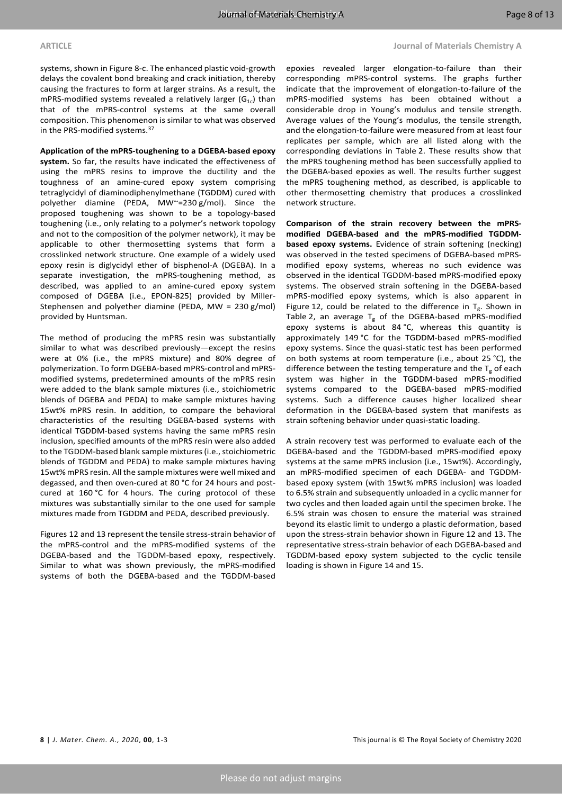systems, shown in Figure 8-c. The enhanced plastic void-growth delays the covalent bond breaking and crack initiation, thereby causing the fractures to form at larger strains. As a result, the mPRS-modified systems revealed a relatively larger ( $G_{1c}$ ) than that of the mPRS-control systems at the same overall composition. This phenomenon is similar to what was observed in the PRS-modified systems.[37](#page-12-1)

### **Application of the mPRS-toughening to a DGEBA-based epoxy**

**system.** So far, the results have indicated the effectiveness of using the mPRS resins to improve the ductility and the toughness of an amine-cured epoxy system comprising tetraglycidyl of diaminodiphenylmethane (TGDDM) cured with polyether diamine (PEDA, MW~=230 g/mol). Since the proposed toughening was shown to be a topology-based toughening (i.e., only relating to a polymer's network topology and not to the composition of the polymer network), it may be applicable to other thermosetting systems that form a crosslinked network structure. One example of a widely used epoxy resin is diglycidyl ether of bisphenol-A (DGEBA). In a separate investigation, the mPRS-toughening method, as described, was applied to an amine-cured epoxy system composed of DGEBA (i.e., EPON-825) provided by Miller-Stephensen and polyether diamine (PEDA, MW = 230 g/mol) provided by Huntsman.

The method of producing the mPRS resin was substantially similar to what was described previously—except the resins were at 0% (i.e., the mPRS mixture) and 80% degree of polymerization. To form DGEBA-based mPRS-control and mPRSmodified systems, predetermined amounts of the mPRS resin were added to the blank sample mixtures (i.e., stoichiometric blends of DGEBA and PEDA) to make sample mixtures having 15wt% mPRS resin. In addition, to compare the behavioral characteristics of the resulting DGEBA-based systems with identical TGDDM-based systems having the same mPRS resin inclusion, specified amounts of the mPRS resin were also added to the TGDDM-based blank sample mixtures (i.e., stoichiometric blends of TGDDM and PEDA) to make sample mixtures having 15wt% mPRS resin. All the sample mixtures were well mixed and degassed, and then oven-cured at 80 °C for 24 hours and postcured at 160 °C for 4 hours. The curing protocol of these mixtures was substantially similar to the one used for sample mixtures made from TGDDM and PEDA, described previously.

Figures 12 and 13 represent the tensile stress-strain behavior of the mPRS-control and the mPRS-modified systems of the DGEBA-based and the TGDDM-based epoxy, respectively. Similar to what was shown previously, the mPRS-modified systems of both the DGEBA-based and the TGDDM-based

epoxies revealed larger elongation-to-failure than their corresponding mPRS-control systems. The graphs further indicate that the improvement of elongation-to-failure of the mPRS-modified systems has been obtained without a considerable drop in Young's modulus and tensile strength. Average values of the Young's modulus, the tensile strength, and the elongation-to-failure were measured from at least four replicates per sample, which are all listed along with the corresponding deviations in Table 2. These results show that the mPRS toughening method has been successfully applied to the DGEBA-based epoxies as well. The results further suggest the mPRS toughening method, as described, is applicable to other thermosetting chemistry that produces a crosslinked network structure.

**Comparison of the strain recovery between the mPRSmodified DGEBA-based and the mPRS-modified TGDDMbased epoxy systems.** Evidence of strain softening (necking) was observed in the tested specimens of DGEBA-based mPRSmodified epoxy systems, whereas no such evidence was observed in the identical TGDDM-based mPRS-modified epoxy systems. The observed strain softening in the DGEBA-based mPRS-modified epoxy systems, which is also apparent in Figure 12, could be related to the difference in  $T_g$ . Shown in Table 2, an average  $T_g$  of the DGEBA-based mPRS-modified epoxy systems is about 84 °C, whereas this quantity is approximately 149 °C for the TGDDM-based mPRS-modified epoxy systems. Since the quasi-static test has been performed on both systems at room temperature (i.e., about 25 °C), the difference between the testing temperature and the  $T_g$  of each system was higher in the TGDDM-based mPRS-modified systems compared to the DGEBA-based mPRS-modified systems. Such a difference causes higher localized shear deformation in the DGEBA-based system that manifests as strain softening behavior under quasi-static loading.

A strain recovery test was performed to evaluate each of the DGEBA-based and the TGDDM-based mPRS-modified epoxy systems at the same mPRS inclusion (i.e., 15wt%). Accordingly, an mPRS-modified specimen of each DGEBA- and TGDDMbased epoxy system (with 15wt% mPRS inclusion) was loaded to 6.5% strain and subsequently unloaded in a cyclic manner for two cycles and then loaded again until the specimen broke. The 6.5% strain was chosen to ensure the material was strained beyond its elastic limit to undergo a plastic deformation, based upon the stress-strain behavior shown in Figure 12 and 13. The representative stress-strain behavior of each DGEBA-based and TGDDM-based epoxy system subjected to the cyclic tensile loading is shown in Figure 14 and 15.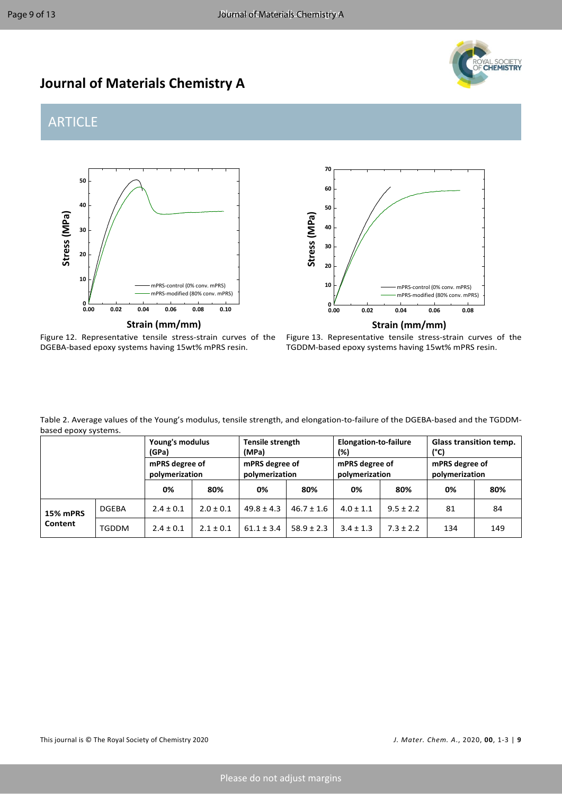

# **Journal of Materials Chemistry A**

# ARTICLE







Figure 13. Representative tensile stress-strain curves of the TGDDM-based epoxy systems having 15wt% mPRS resin.

Table 2. Average values of the Young's modulus, tensile strength, and elongation-to-failure of the DGEBA-based and the TGDDMbased epoxy systems.

|                 |              | Young's modulus<br>(GPa)         |               | Tensile strength<br>(MPa)        |                | Elongation-to-failure<br>(%)     |               | <b>Glass transition temp.</b><br>(°C) |     |  |
|-----------------|--------------|----------------------------------|---------------|----------------------------------|----------------|----------------------------------|---------------|---------------------------------------|-----|--|
|                 |              | mPRS degree of<br>polymerization |               | mPRS degree of<br>polymerization |                | mPRS degree of<br>polymerization |               | mPRS degree of<br>polymerization      |     |  |
|                 |              | 0%                               | 80%           | 0%                               | 80%            | 0%                               | 80%           | 0%                                    | 80% |  |
| <b>15% mPRS</b> | <b>DGEBA</b> | $2.4 \pm 0.1$                    | $2.0 \pm 0.1$ | $49.8 \pm 4.3$                   | $46.7 \pm 1.6$ | $4.0 \pm 1.1$                    | $9.5 \pm 2.2$ | 81                                    | 84  |  |
| Content         | TGDDM        | $2.4 \pm 0.1$                    | $2.1 \pm 0.1$ | $61.1 \pm 3.4$                   | $58.9 \pm 2.3$ | $3.4 \pm 1.3$                    | $7.3 \pm 2.2$ | 134                                   | 149 |  |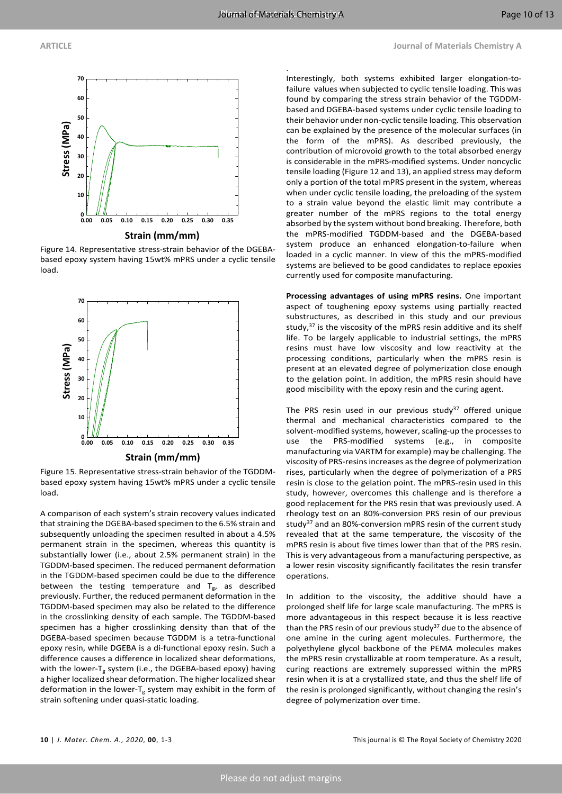.



Figure 14. Representative stress-strain behavior of the DGEBAbased epoxy system having 15wt% mPRS under a cyclic tensile load.



**Strain (mm/mm)**

Figure 15. Representative stress-strain behavior of the TGDDMbased epoxy system having 15wt% mPRS under a cyclic tensile load.

A comparison of each system's strain recovery values indicated that straining the DGEBA-based specimen to the 6.5% strain and subsequently unloading the specimen resulted in about a 4.5% permanent strain in the specimen, whereas this quantity is substantially lower (i.e., about 2.5% permanent strain) in the TGDDM-based specimen. The reduced permanent deformation in the TGDDM-based specimen could be due to the difference between the testing temperature and  $T_{g}$ , as described previously. Further, the reduced permanent deformation in the TGDDM-based specimen may also be related to the difference in the crosslinking density of each sample. The TGDDM-based specimen has a higher crosslinking density than that of the DGEBA-based specimen because TGDDM is a tetra-functional epoxy resin, while DGEBA is a di-functional epoxy resin. Such a difference causes a difference in localized shear deformations, with the lower- $T_g$  system (i.e., the DGEBA-based epoxy) having a higher localized shear deformation. The higher localized shear deformation in the lower- $T_g$  system may exhibit in the form of strain softening under quasi-static loading.

Interestingly, both systems exhibited larger elongation-tofailure values when subjected to cyclic tensile loading. This was found by comparing the stress strain behavior of the TGDDMbased and DGEBA-based systems under cyclic tensile loading to their behavior under non-cyclic tensile loading. This observation can be explained by the presence of the molecular surfaces (in the form of the mPRS). As described previously, the contribution of microvoid growth to the total absorbed energy is considerable in the mPRS-modified systems. Under noncyclic tensile loading (Figure 12 and 13), an applied stress may deform only a portion of the total mPRS present in the system, whereas when under cyclic tensile loading, the preloading of the system to a strain value beyond the elastic limit may contribute a greater number of the mPRS regions to the total energy absorbed by the system without bond breaking. Therefore, both the mPRS-modified TGDDM-based and the DGEBA-based system produce an enhanced elongation-to-failure when loaded in a cyclic manner. In view of this the mPRS-modified systems are believed to be good candidates to replace epoxies currently used for composite manufacturing.

**Processing advantages of using mPRS resins.** One important aspect of toughening epoxy systems using partially reacted substructures, as described in this study and our previous study, $37$  is the viscosity of the mPRS resin additive and its shelf life. To be largely applicable to industrial settings, the mPRS resins must have low viscosity and low reactivity at the processing conditions, particularly when the mPRS resin is present at an elevated degree of polymerization close enough to the gelation point. In addition, the mPRS resin should have good miscibility with the epoxy resin and the curing agent.

The PRS resin used in our previous study $37$  offered unique thermal and mechanical characteristics compared to the solvent-modified systems, however, scaling-up the processes to use the PRS-modified systems (e.g., in composite manufacturing via VARTM for example) may be challenging. The viscosity of PRS-resins increases as the degree of polymerization rises, particularly when the degree of polymerization of a PRS resin is close to the gelation point. The mPRS-resin used in this study, however, overcomes this challenge and is therefore a good replacement for the PRS resin that was previously used. A rheology test on an 80%-conversion PRS resin of our previous study<sup>[37](#page-12-1)</sup> and an 80%-conversion mPRS resin of the current study revealed that at the same temperature, the viscosity of the mPRS resin is about five times lower than that of the PRS resin. This is very advantageous from a manufacturing perspective, as a lower resin viscosity significantly facilitates the resin transfer operations.

In addition to the viscosity, the additive should have a prolonged shelf life for large scale manufacturing. The mPRS is more advantageous in this respect because it is less reactive than the PRS resin of our previous study<sup>[37](#page-12-1)</sup> due to the absence of one amine in the curing agent molecules. Furthermore, the polyethylene glycol backbone of the PEMA molecules makes the mPRS resin crystallizable at room temperature. As a result, curing reactions are extremely suppressed within the mPRS resin when it is at a crystallized state, and thus the shelf life of the resin is prolonged significantly, without changing the resin's degree of polymerization over time.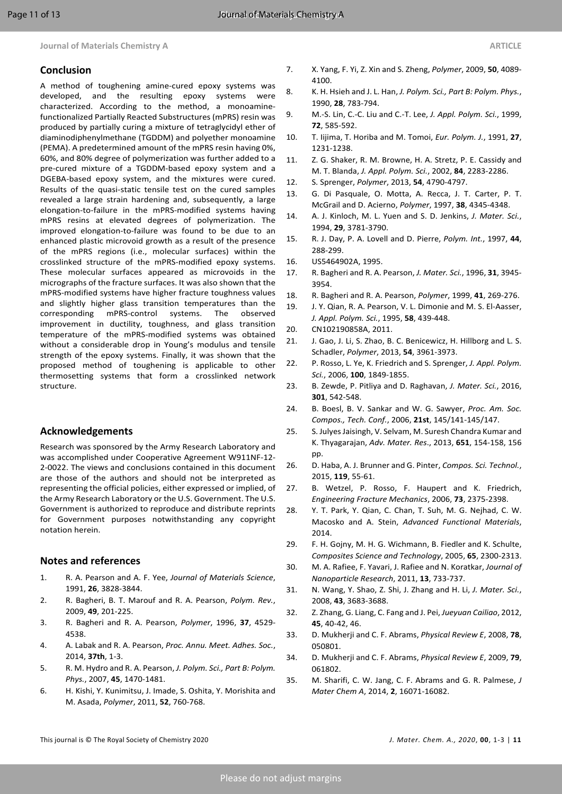### **Conclusion**

A method of toughening amine-cured epoxy systems was developed, and the resulting epoxy systems were characterized. According to the method, a monoaminefunctionalized Partially Reacted Substructures (mPRS) resin was produced by partially curing a mixture of tetraglycidyl ether of diaminodiphenylmethane (TGDDM) and polyether monoamine (PEMA). A predetermined amount of the mPRS resin having 0%, 60%, and 80% degree of polymerization was further added to a pre-cured mixture of a TGDDM-based epoxy system and a DGEBA-based epoxy system, and the mixtures were cured. Results of the quasi-static tensile test on the cured samples revealed a large strain hardening and, subsequently, a large elongation-to-failure in the mPRS-modified systems having mPRS resins at elevated degrees of polymerization. The improved elongation-to-failure was found to be due to an enhanced plastic microvoid growth as a result of the presence of the mPRS regions (i.e., molecular surfaces) within the crosslinked structure of the mPRS-modified epoxy systems. These molecular surfaces appeared as microvoids in the micrographs of the fracture surfaces. It was also shown that the mPRS-modified systems have higher fracture toughness values and slightly higher glass transition temperatures than the corresponding mPRS-control systems. The observed improvement in ductility, toughness, and glass transition temperature of the mPRS-modified systems was obtained without a considerable drop in Young's modulus and tensile strength of the epoxy systems. Finally, it was shown that the proposed method of toughening is applicable to other thermosetting systems that form a crosslinked network structure.

### **Acknowledgements**

Research was sponsored by the Army Research Laboratory and was accomplished under Cooperative Agreement W911NF-12- 2-0022. The views and conclusions contained in this document are those of the authors and should not be interpreted as representing the official policies, either expressed or implied, of the Army Research Laboratory or the U.S. Government. The U.S. Government is authorized to reproduce and distribute reprints for Government purposes notwithstanding any copyright notation herein.

### **Notes and references**

- <span id="page-11-0"></span>1. R. A. Pearson and A. F. Yee, *Journal of Materials Science*, 1991, **26**, 3828-3844.
- 2. R. Bagheri, B. T. Marouf and R. A. Pearson, *Polym. Rev.*, 2009, **49**, 201-225.
- 3. R. Bagheri and R. A. Pearson, *Polymer*, 1996, **37**, 4529- 4538.
- <span id="page-11-1"></span>4. A. Labak and R. A. Pearson, *Proc. Annu. Meet. Adhes. Soc.*, 2014, **37th**, 1-3.
- 5. R. M. Hydro and R. A. Pearson, *J. Polym. Sci., Part B: Polym. Phys.*, 2007, **45**, 1470-1481.
- 6. H. Kishi, Y. Kunimitsu, J. Imade, S. Oshita, Y. Morishita and M. Asada, *Polymer*, 2011, **52**, 760-768.
- 7. X. Yang, F. Yi, Z. Xin and S. Zheng, *Polymer*, 2009, **50**, 4089- 4100.
- <span id="page-11-2"></span>8. K. H. Hsieh and J. L. Han, *J. Polym. Sci., Part B: Polym. Phys.*, 1990, **28**, 783-794.
- <span id="page-11-3"></span>9. M.-S. Lin, C.-C. Liu and C.-T. Lee, *J. Appl. Polym. Sci.*, 1999, **72**, 585-592.
- <span id="page-11-4"></span>10. T. Iijima, T. Horiba and M. Tomoi, *Eur. Polym. J.*, 1991, **27**, 1231-1238.
- 11. Z. G. Shaker, R. M. Browne, H. A. Stretz, P. E. Cassidy and M. T. Blanda, *J. Appl. Polym. Sci.*, 2002, **84**, 2283-2286.
- 12. S. Sprenger, *Polymer*, 2013, **54**, 4790-4797.
- <span id="page-11-5"></span>13. G. Di Pasquale, O. Motta, A. Recca, J. T. Carter, P. T. McGrail and D. Acierno, *Polymer*, 1997, **38**, 4345-4348.
- <span id="page-11-6"></span>14. A. J. Kinloch, M. L. Yuen and S. D. Jenkins, *J. Mater. Sci.*, 1994, **29**, 3781-3790.
- <span id="page-11-7"></span>15. R. J. Day, P. A. Lovell and D. Pierre, *Polym. Int.*, 1997, **44**, 288-299.
- <span id="page-11-8"></span>16. US5464902A, 1995.
- <span id="page-11-9"></span>17. R. Bagheri and R. A. Pearson, *J. Mater. Sci.*, 1996, **31**, 3945- 3954.
- 18. R. Bagheri and R. A. Pearson, *Polymer*, 1999, **41**, 269-276.
- 19. J. Y. Qian, R. A. Pearson, V. L. Dimonie and M. S. El-Aasser, *J. Appl. Polym. Sci.*, 1995, **58**, 439-448.
- <span id="page-11-10"></span>20. CN102190858A, 2011.
- 21. J. Gao, J. Li, S. Zhao, B. C. Benicewicz, H. Hillborg and L. S. Schadler, *Polymer*, 2013, **54**, 3961-3973.
- 22. P. Rosso, L. Ye, K. Friedrich and S. Sprenger, *J. Appl. Polym. Sci.*, 2006, **100**, 1849-1855.
- <span id="page-11-11"></span>23. B. Zewde, P. Pitliya and D. Raghavan, *J. Mater. Sci.*, 2016, **301**, 542-548.
- <span id="page-11-12"></span>24. B. Boesl, B. V. Sankar and W. G. Sawyer, *Proc. Am. Soc. Compos., Tech. Conf.*, 2006, **21st**, 145/141-145/147.
- <span id="page-11-13"></span>25. S. Julyes Jaisingh, V. Selvam, M. Suresh Chandra Kumar and K. Thyagarajan, *Adv. Mater. Res*., 2013, **651**, 154-158, 156 pp.
- <span id="page-11-14"></span>26. D. Haba, A. J. Brunner and G. Pinter, *Compos. Sci. Technol.*, 2015, **119**, 55-61.
- <span id="page-11-15"></span>27. B. Wetzel, P. Rosso, F. Haupert and K. Friedrich, *Engineering Fracture Mechanics*, 2006, **73**, 2375-2398.
- <span id="page-11-16"></span>28. Y. T. Park, Y. Qian, C. Chan, T. Suh, M. G. Nejhad, C. W. Macosko and A. Stein, *Advanced Functional Materials*, 2014.
- <span id="page-11-17"></span>29. F. H. Gojny, M. H. G. Wichmann, B. Fiedler and K. Schulte, *Composites Science and Technology*, 2005, **65**, 2300-2313.
- <span id="page-11-18"></span>30. M. A. Rafiee, F. Yavari, J. Rafiee and N. Koratkar, *Journal of Nanoparticle Research*, 2011, **13**, 733-737.
- <span id="page-11-19"></span>31. N. Wang, Y. Shao, Z. Shi, J. Zhang and H. Li, *J. Mater. Sci.*, 2008, **43**, 3683-3688.
- <span id="page-11-20"></span>32. Z. Zhang, G. Liang, C. Fang and J. Pei, *Jueyuan Cailiao*, 2012, **45**, 40-42, 46.
- <span id="page-11-21"></span>33. D. Mukherji and C. F. Abrams, *Physical Review E*, 2008, **78**, 050801.
- <span id="page-11-22"></span>34. D. Mukherji and C. F. Abrams, *Physical Review E*, 2009, **79**, 061802.
- <span id="page-11-23"></span>35. M. Sharifi, C. W. Jang, C. F. Abrams and G. R. Palmese, *J Mater Chem A*, 2014, **2**, 16071-16082.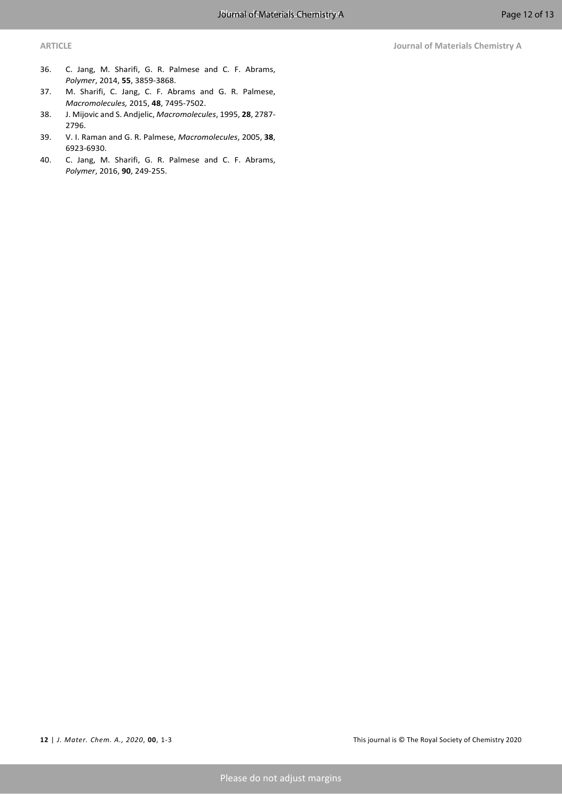- <span id="page-12-0"></span>36. C. Jang, M. Sharifi, G. R. Palmese and C. F. Abrams, *Polymer*, 2014, **55**, 3859-3868.
- <span id="page-12-1"></span>37. M. Sharifi, C. Jang, C. F. Abrams and G. R. Palmese, *Macromolecules,* 2015, **48**, 7495-7502.
- <span id="page-12-2"></span>38. J. Mijovic and S. Andjelic, *Macromolecules*, 1995, **28**, 2787- 2796.
- <span id="page-12-3"></span>39. V. I. Raman and G. R. Palmese, *Macromolecules*, 2005, **38**, 6923-6930.
- <span id="page-12-4"></span>40. C. Jang, M. Sharifi, G. R. Palmese and C. F. Abrams, *Polymer*, 2016, **90**, 249-255.